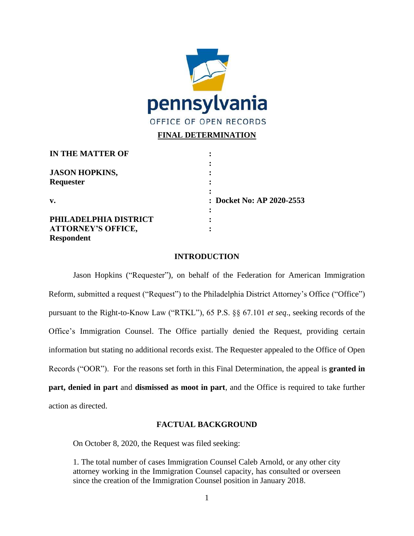

# **FINAL DETERMINATION**

| IN THE MATTER OF          |                           |
|---------------------------|---------------------------|
|                           |                           |
| <b>JASON HOPKINS,</b>     |                           |
| Requester                 |                           |
|                           |                           |
| v.                        | : Docket No: AP 2020-2553 |
|                           |                           |
| PHILADELPHIA DISTRICT     |                           |
| <b>ATTORNEY'S OFFICE,</b> |                           |
| <b>Respondent</b>         |                           |

### **INTRODUCTION**

Jason Hopkins ("Requester"), on behalf of the Federation for American Immigration Reform, submitted a request ("Request") to the Philadelphia District Attorney's Office ("Office") pursuant to the Right-to-Know Law ("RTKL"), 65 P.S. §§ 67.101 *et seq*., seeking records of the Office's Immigration Counsel. The Office partially denied the Request, providing certain information but stating no additional records exist. The Requester appealed to the Office of Open Records ("OOR"). For the reasons set forth in this Final Determination, the appeal is **granted in part, denied in part** and **dismissed as moot in part**, and the Office is required to take further action as directed.

### **FACTUAL BACKGROUND**

On October 8, 2020, the Request was filed seeking:

1. The total number of cases Immigration Counsel Caleb Arnold, or any other city attorney working in the Immigration Counsel capacity, has consulted or overseen since the creation of the Immigration Counsel position in January 2018.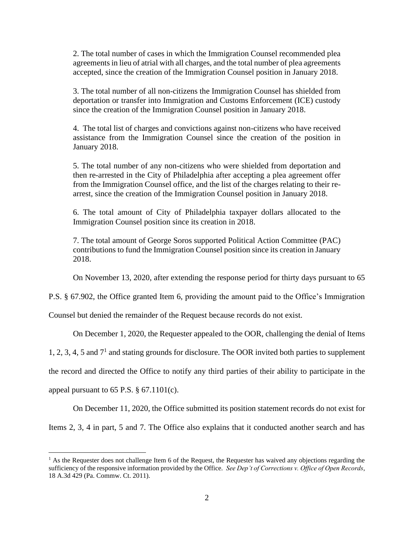2. The total number of cases in which the Immigration Counsel recommended plea agreements in lieu of atrial with all charges, and the total number of plea agreements accepted, since the creation of the Immigration Counsel position in January 2018.

3. The total number of all non-citizens the Immigration Counsel has shielded from deportation or transfer into Immigration and Customs Enforcement (ICE) custody since the creation of the Immigration Counsel position in January 2018.

4. The total list of charges and convictions against non-citizens who have received assistance from the Immigration Counsel since the creation of the position in January 2018.

5. The total number of any non-citizens who were shielded from deportation and then re-arrested in the City of Philadelphia after accepting a plea agreement offer from the Immigration Counsel office, and the list of the charges relating to their rearrest, since the creation of the Immigration Counsel position in January 2018.

6. The total amount of City of Philadelphia taxpayer dollars allocated to the Immigration Counsel position since its creation in 2018.

7. The total amount of George Soros supported Political Action Committee (PAC) contributions to fund the Immigration Counsel position since its creation in January 2018.

On November 13, 2020, after extending the response period for thirty days pursuant to 65

P.S. § 67.902, the Office granted Item 6, providing the amount paid to the Office's Immigration

Counsel but denied the remainder of the Request because records do not exist.

On December 1, 2020, the Requester appealed to the OOR, challenging the denial of Items

1, 2, 3, 4, 5 and  $7<sup>1</sup>$  and stating grounds for disclosure. The OOR invited both parties to supplement

the record and directed the Office to notify any third parties of their ability to participate in the

appeal pursuant to  $65$  P.S.  $\S$   $67.1101(c)$ .

On December 11, 2020, the Office submitted its position statement records do not exist for

Items 2, 3, 4 in part, 5 and 7. The Office also explains that it conducted another search and has

 $<sup>1</sup>$  As the Requester does not challenge Item 6 of the Request, the Requester has waived any objections regarding the</sup> sufficiency of the responsive information provided by the Office. *See Dep't of Corrections v. Office of Open Records*, 18 A.3d 429 (Pa. Commw. Ct. 2011).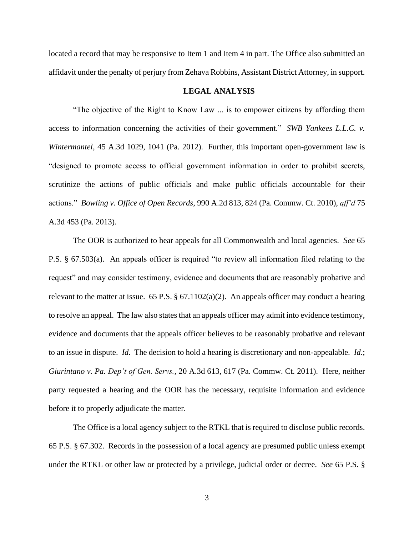located a record that may be responsive to Item 1 and Item 4 in part. The Office also submitted an affidavit under the penalty of perjury from Zehava Robbins, Assistant District Attorney, in support.

### **LEGAL ANALYSIS**

"The objective of the Right to Know Law ... is to empower citizens by affording them access to information concerning the activities of their government." *SWB Yankees L.L.C. v. Wintermantel*, 45 A.3d 1029, 1041 (Pa. 2012). Further, this important open-government law is "designed to promote access to official government information in order to prohibit secrets, scrutinize the actions of public officials and make public officials accountable for their actions." *Bowling v. Office of Open Records*, 990 A.2d 813, 824 (Pa. Commw. Ct. 2010), *aff'd* 75 A.3d 453 (Pa. 2013).

The OOR is authorized to hear appeals for all Commonwealth and local agencies. *See* 65 P.S. § 67.503(a). An appeals officer is required "to review all information filed relating to the request" and may consider testimony, evidence and documents that are reasonably probative and relevant to the matter at issue. 65 P.S.  $\S 67.1102(a)(2)$ . An appeals officer may conduct a hearing to resolve an appeal. The law also states that an appeals officer may admit into evidence testimony, evidence and documents that the appeals officer believes to be reasonably probative and relevant to an issue in dispute. *Id*. The decision to hold a hearing is discretionary and non-appealable. *Id*.; *Giurintano v. Pa. Dep't of Gen. Servs.*, 20 A.3d 613, 617 (Pa. Commw. Ct. 2011). Here, neither party requested a hearing and the OOR has the necessary, requisite information and evidence before it to properly adjudicate the matter.

The Office is a local agency subject to the RTKL that is required to disclose public records. 65 P.S. § 67.302. Records in the possession of a local agency are presumed public unless exempt under the RTKL or other law or protected by a privilege, judicial order or decree. *See* 65 P.S. §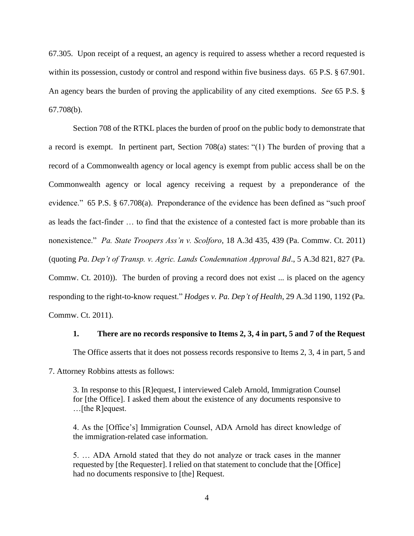67.305. Upon receipt of a request, an agency is required to assess whether a record requested is within its possession, custody or control and respond within five business days. 65 P.S. § 67.901. An agency bears the burden of proving the applicability of any cited exemptions. *See* 65 P.S. § 67.708(b).

Section 708 of the RTKL places the burden of proof on the public body to demonstrate that a record is exempt. In pertinent part, Section 708(a) states: "(1) The burden of proving that a record of a Commonwealth agency or local agency is exempt from public access shall be on the Commonwealth agency or local agency receiving a request by a preponderance of the evidence." 65 P.S. § 67.708(a). Preponderance of the evidence has been defined as "such proof as leads the fact-finder … to find that the existence of a contested fact is more probable than its nonexistence." *Pa. State Troopers Ass'n v. Scolforo*, 18 A.3d 435, 439 (Pa. Commw. Ct. 2011) (quoting *Pa*. *Dep't of Transp. v. Agric. Lands Condemnation Approval Bd*., 5 A.3d 821, 827 (Pa. Commw. Ct. 2010)). The burden of proving a record does not exist ... is placed on the agency responding to the right-to-know request." *Hodges v. Pa. Dep't of Health*, 29 A.3d 1190, 1192 (Pa. Commw. Ct. 2011).

#### **1. There are no records responsive to Items 2, 3, 4 in part, 5 and 7 of the Request**

The Office asserts that it does not possess records responsive to Items 2, 3, 4 in part, 5 and

7. Attorney Robbins attests as follows:

3. In response to this [R]equest, I interviewed Caleb Arnold, Immigration Counsel for [the Office]. I asked them about the existence of any documents responsive to …[the R]equest.

4. As the [Office's] Immigration Counsel, ADA Arnold has direct knowledge of the immigration-related case information.

5. … ADA Arnold stated that they do not analyze or track cases in the manner requested by [the Requester]. I relied on that statement to conclude that the [Office] had no documents responsive to [the] Request.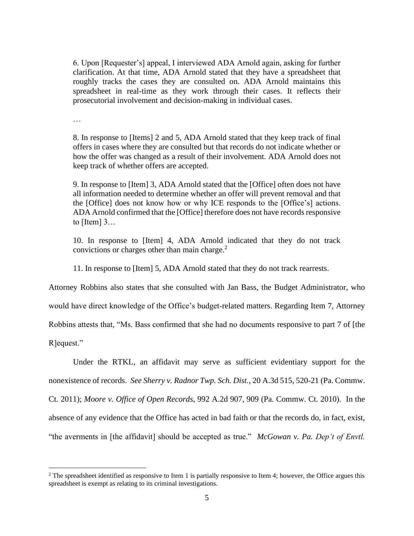6. Upon [Requester's] appeal, I interviewed ADA Arnold again, asking for further clarification. At that time, ADA Arnold stated that they have a spreadsheet that roughly tracks the cases they are consulted on. ADA Arnold maintains this spreadsheet in real-time as they work through their cases. It reflects their prosecutorial involvement and decision-making in individual cases.

…

8. In response to [Items] 2 and 5, ADA Arnold stated that they keep track of final offers in cases where they are consulted but that records do not indicate whether or how the offer was changed as a result of their involvement. ADA Arnold does not keep track of whether offers are accepted.

9. In response to [Item] 3, ADA Arnold stated that the [Office] often does not have all information needed to determine whether an offer will prevent removal and that the [Office] does not know how or why ICE responds to the [Office's] actions. ADA Arnold confirmed that the [Office] therefore does not have records responsive to  $[Item]$  3...

10. In response to [Item] 4, ADA Arnold indicated that they do not track convictions or charges other than main charge.<sup>2</sup>

11. In response to [Item] 5, ADA Arnold stated that they do not track rearrests.

Attorney Robbins also states that she consulted with Jan Bass, the Budget Administrator, who

would have direct knowledge of the Office's budget-related matters. Regarding Item 7, Attorney

Robbins attests that, "Ms. Bass confirmed that she had no documents responsive to part 7 of [the

R]equest."

Under the RTKL, an affidavit may serve as sufficient evidentiary support for the nonexistence of records. *See Sherry v. Radnor Twp. Sch. Dist.*, 20 A.3d 515, 520-21 (Pa. Commw. Ct. 2011); *Moore v. Office of Open Records*, 992 A.2d 907, 909 (Pa. Commw. Ct. 2010). In the absence of any evidence that the Office has acted in bad faith or that the records do, in fact, exist, "the averments in [the affidavit] should be accepted as true." *McGowan v. Pa. Dep't of Envtl.* 

 $2$  The spreadsheet identified as responsive to Item 1 is partially responsive to Item 4; however, the Office argues this spreadsheet is exempt as relating to its criminal investigations.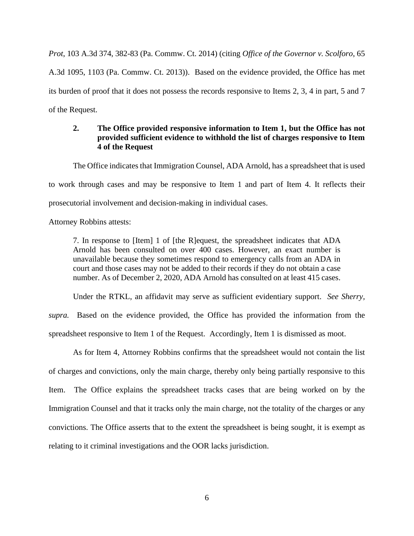*Prot*, 103 A.3d 374, 382-83 (Pa. Commw. Ct. 2014) (citing *Office of the Governor v. Scolforo*, 65 A.3d 1095, 1103 (Pa. Commw. Ct. 2013)). Based on the evidence provided, the Office has met its burden of proof that it does not possess the records responsive to Items 2, 3, 4 in part, 5 and 7 of the Request.

## **2. The Office provided responsive information to Item 1, but the Office has not provided sufficient evidence to withhold the list of charges responsive to Item 4 of the Request**

The Office indicates that Immigration Counsel, ADA Arnold, has a spreadsheet that is used to work through cases and may be responsive to Item 1 and part of Item 4. It reflects their prosecutorial involvement and decision-making in individual cases.

Attorney Robbins attests:

7. In response to [Item] 1 of [the R]equest, the spreadsheet indicates that ADA Arnold has been consulted on over 400 cases. However, an exact number is unavailable because they sometimes respond to emergency calls from an ADA in court and those cases may not be added to their records if they do not obtain a case number. As of December 2, 2020, ADA Arnold has consulted on at least 415 cases.

Under the RTKL, an affidavit may serve as sufficient evidentiary support. *See Sherry,* 

*supra.* Based on the evidence provided, the Office has provided the information from the spreadsheet responsive to Item 1 of the Request. Accordingly, Item 1 is dismissed as moot.

As for Item 4, Attorney Robbins confirms that the spreadsheet would not contain the list of charges and convictions, only the main charge, thereby only being partially responsive to this Item. The Office explains the spreadsheet tracks cases that are being worked on by the Immigration Counsel and that it tracks only the main charge, not the totality of the charges or any convictions. The Office asserts that to the extent the spreadsheet is being sought, it is exempt as relating to it criminal investigations and the OOR lacks jurisdiction.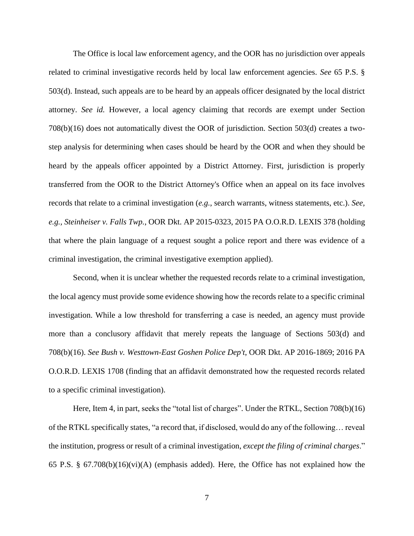The Office is local law enforcement agency, and the OOR has no jurisdiction over appeals related to criminal investigative records held by local law enforcement agencies. *See* 65 P.S. § 503(d). Instead, such appeals are to be heard by an appeals officer designated by the local district attorney. *See id.* However, a local agency claiming that records are exempt under Section 708(b)(16) does not automatically divest the OOR of jurisdiction. Section 503(d) creates a twostep analysis for determining when cases should be heard by the OOR and when they should be heard by the appeals officer appointed by a District Attorney. First, jurisdiction is properly transferred from the OOR to the District Attorney's Office when an appeal on its face involves records that relate to a criminal investigation (*e.g.*, search warrants, witness statements, etc.). *See, e.g., Steinheiser v. Falls Twp.*, OOR Dkt. AP 2015-0323, 2015 PA O.O.R.D. LEXIS 378 (holding that where the plain language of a request sought a police report and there was evidence of a criminal investigation, the criminal investigative exemption applied).

Second, when it is unclear whether the requested records relate to a criminal investigation, the local agency must provide some evidence showing how the records relate to a specific criminal investigation. While a low threshold for transferring a case is needed, an agency must provide more than a conclusory affidavit that merely repeats the language of Sections 503(d) and 708(b)(16). *See Bush v. Westtown-East Goshen Police Dep't*, OOR Dkt. AP 2016-1869; 2016 PA O.O.R.D. LEXIS 1708 (finding that an affidavit demonstrated how the requested records related to a specific criminal investigation).

Here, Item 4, in part, seeks the "total list of charges". Under the RTKL, Section 708(b)(16) of the RTKL specifically states, "a record that, if disclosed, would do any of the following… reveal the institution, progress or result of a criminal investigation, *except the filing of criminal charges*." 65 P.S. § 67.708(b)(16)(vi)(A) (emphasis added). Here, the Office has not explained how the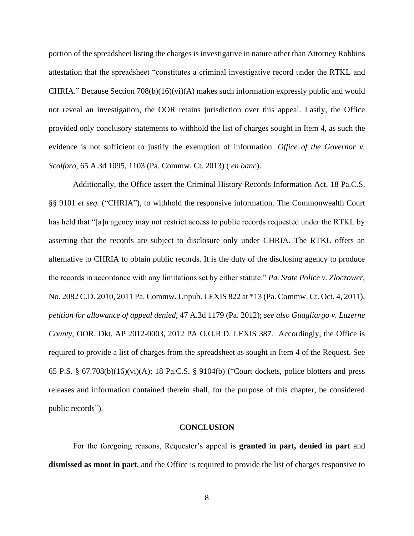portion of the spreadsheet listing the charges is investigative in nature other than Attorney Robbins attestation that the spreadsheet "constitutes a criminal investigative record under the RTKL and CHRIA." Because Section  $708(b)(16)(vi)(A)$  makes such information expressly public and would not reveal an investigation, the OOR retains jurisdiction over this appeal. Lastly, the Office provided only conclusory statements to withhold the list of charges sought in Item 4, as such the evidence is not sufficient to justify the exemption of information. *[Office of the Governor v.](https://advance.lexis.com/document/teaserdocument/?pdmfid=1000516&crid=e9cc23f6-ecd6-418f-8b20-0411ce0b5e17&pddocfullpath=%2Fshared%2Fdocument%2Fadministrative-materials%2Furn%3AcontentItem%3A60VS-J4Y1-JSXV-G325-00000-00&pddocid=urn%3AcontentItem%3A60VS-J4Y1-JSXV-G325-00000-00&pdcontentcomponentid=357022&pdteaserkey=h2&pditab=allpods&ecomp=cbh4k&earg=sr0&prid=e327a34e-fc59-4a8e-b8eb-0fb610ab75b9) Scolforo*[, 65 A.3d 1095, 1103 \(Pa. Commw. Ct. 2013\)](https://advance.lexis.com/document/teaserdocument/?pdmfid=1000516&crid=e9cc23f6-ecd6-418f-8b20-0411ce0b5e17&pddocfullpath=%2Fshared%2Fdocument%2Fadministrative-materials%2Furn%3AcontentItem%3A60VS-J4Y1-JSXV-G325-00000-00&pddocid=urn%3AcontentItem%3A60VS-J4Y1-JSXV-G325-00000-00&pdcontentcomponentid=357022&pdteaserkey=h2&pditab=allpods&ecomp=cbh4k&earg=sr0&prid=e327a34e-fc59-4a8e-b8eb-0fb610ab75b9) ( *en banc*).

Additionally, the Office assert the Criminal History Records Information Act, [18 Pa.C.S.](https://advance.lexis.com/document/teaserdocument/?pdmfid=1000516&crid=032752e4-5c5b-4a4d-808d-e2b32acf0ced&pddocfullpath=%2Fshared%2Fdocument%2Fadministrative-materials%2Furn%3AcontentItem%3A516X-2360-00PX-M1C5-00000-00&pddocid=urn%3AcontentItem%3A516X-2360-00PX-M1C5-00000-00&pdcontentcomponentid=357022&pdteaserkey=h1&pditab=allpods&ecomp=cbh4k&earg=sr0&prid=6f0d97a3-1667-4788-9859-6dbe4f8aea20)  [§§ 9101](https://advance.lexis.com/document/teaserdocument/?pdmfid=1000516&crid=032752e4-5c5b-4a4d-808d-e2b32acf0ced&pddocfullpath=%2Fshared%2Fdocument%2Fadministrative-materials%2Furn%3AcontentItem%3A516X-2360-00PX-M1C5-00000-00&pddocid=urn%3AcontentItem%3A516X-2360-00PX-M1C5-00000-00&pdcontentcomponentid=357022&pdteaserkey=h1&pditab=allpods&ecomp=cbh4k&earg=sr0&prid=6f0d97a3-1667-4788-9859-6dbe4f8aea20) *et seq.* ("CHRIA"), to withhold the responsive information. The Commonwealth Court has held that "[a]n agency may not restrict access to public records requested under the RTKL by asserting that the records are subject to disclosure only under CHRIA. The RTKL offers an alternative to CHRIA to obtain public records. It is the duty of the disclosing agency to produce the records in accordance with any limitations set by either statute." *Pa. State Police v. Zloczower*, No. 2082 C.D. 2010, [2011 Pa. Commw. Unpub. LEXIS 822 at \\*13 \(Pa. Commw. Ct. Oct. 4, 2011\),](https://advance.lexis.com/document/teaserdocument/?pdmfid=1000516&crid=9262d8ab-ee96-4960-b682-66664bb85a72&pddocfullpath=%2Fshared%2Fdocument%2Fadministrative-materials%2Furn%3AcontentItem%3A5XV1-7291-F7VM-S4FX-00000-00&pddocid=urn%3AcontentItem%3A5XV1-7291-F7VM-S4FX-00000-00&pdcontentcomponentid=357022&pdteaserkey=h4&pditab=allpods&ecomp=cbh4k&earg=sr3&prid=04f5d04b-7ccb-4b40-8eff-8dfb197d3843) *petition for allowance of appeal denied*, [47 A.3d 1179 \(Pa. 2012\);](https://advance.lexis.com/document/teaserdocument/?pdmfid=1000516&crid=9262d8ab-ee96-4960-b682-66664bb85a72&pddocfullpath=%2Fshared%2Fdocument%2Fadministrative-materials%2Furn%3AcontentItem%3A5XV1-7291-F7VM-S4FX-00000-00&pddocid=urn%3AcontentItem%3A5XV1-7291-F7VM-S4FX-00000-00&pdcontentcomponentid=357022&pdteaserkey=h4&pditab=allpods&ecomp=cbh4k&earg=sr3&prid=04f5d04b-7ccb-4b40-8eff-8dfb197d3843) *see also Guagliargo v. Luzerne County*, OOR. Dkt. AP 2012-0003, 2012 PA O.O.R.D. LEXIS 387. Accordingly, the Office is required to provide a list of charges from the spreadsheet as sought in Item 4 of the Request. See 65 P.S. § 67.708(b)(16)(vi)(A); [18 Pa.C.S. § 9104\(b\)](https://advance.lexis.com/document/?pdmfid=1000516&crid=87423ce0-df15-43d9-84a1-240fe1f358da&pddocfullpath=%2Fshared%2Fdocument%2Fadministrative-materials%2Furn%3AcontentItem%3A5WDK-JPS0-00PX-M3N3-00000-00&pdcontentcomponentid=357022&pdteaserkey=sr5&pditab=allpods&ecomp=cbh4k&earg=sr5&prid=04f5d04b-7ccb-4b40-8eff-8dfb197d3843) ("Court dockets, police blotters and press releases and information contained therein shall, for the purpose of this chapter, be considered public records").

#### **CONCLUSION**

For the foregoing reasons, Requester's appeal is **granted in part, denied in part** and **dismissed as moot in part**, and the Office is required to provide the list of charges responsive to